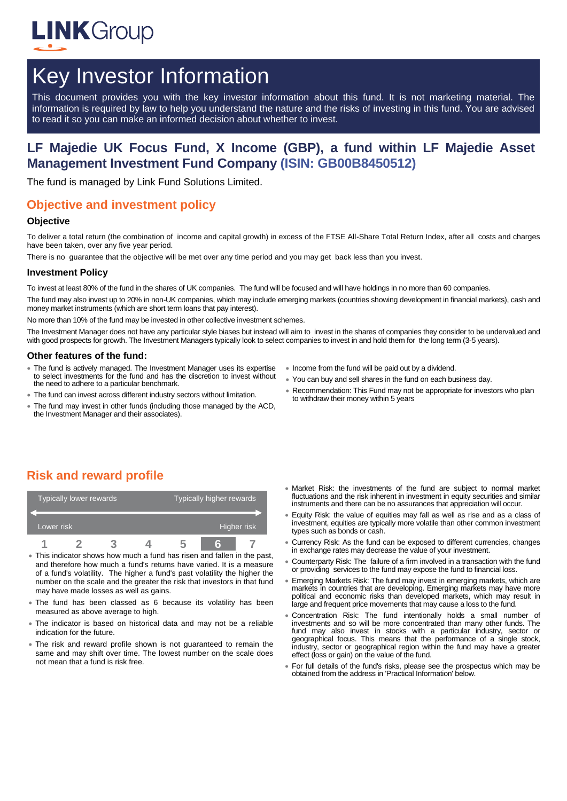

# Key Investor Information

This document provides you with the key investor information about this fund. It is not marketing material. The information is required by law to help you understand the nature and the risks of investing in this fund. You are advised to read it so you can make an informed decision about whether to invest.

# **LF Majedie UK Focus Fund, X Income (GBP), a fund within LF Majedie Asset Management Investment Fund Company (ISIN: GB00B8450512)**

The fund is managed by Link Fund Solutions Limited.

## **Objective and investment policy**

#### **Objective**

To deliver a total return (the combination of income and capital growth) in excess of the FTSE All-Share Total Return Index, after all costs and charges have been taken, over any five year period.

There is no guarantee that the objective will be met over any time period and you may get back less than you invest.

#### **Investment Policy**

To invest at least 80% of the fund in the shares of UK companies. The fund will be focused and will have holdings in no more than 60 companies.

The fund may also invest up to 20% in non-UK companies, which may include emerging markets (countries showing development in financial markets), cash and money market instruments (which are short term loans that pay interest).

No more than 10% of the fund may be invested in other collective investment schemes.

The Investment Manager does not have any particular style biases but instead will aim to invest in the shares of companies they consider to be undervalued and with good prospects for growth. The Investment Managers typically look to select companies to invest in and hold them for the long term (3-5 years).

#### **Other features of the fund:**

- The fund is actively managed. The Investment Manager uses its expertise to select investments for the fund and has the discretion to invest without the need to adhere to a particular benchmark.
- The fund can invest across different industry sectors without limitation.
- The fund may invest in other funds (including those managed by the ACD, the Investment Manager and their associates).
- Income from the fund will be paid out by a dividend.
- You can buy and sell shares in the fund on each business day.
- Recommendation: This Fund may not be appropriate for investors who plan to withdraw their money within 5 years

## **Risk and reward profile**

| Typically lower rewards |  |  |  | Typically higher rewards |  |             |  |
|-------------------------|--|--|--|--------------------------|--|-------------|--|
| Lower risk              |  |  |  |                          |  | Higher risk |  |
|                         |  |  |  |                          |  |             |  |

- This indicator shows how much a fund has risen and fallen in the past, and therefore how much a fund's returns have varied. It is a measure of a fund's volatility. The higher a fund's past volatility the higher the number on the scale and the greater the risk that investors in that fund may have made losses as well as gains.
- The fund has been classed as 6 because its volatility has been measured as above average to high.
- The indicator is based on historical data and may not be a reliable indication for the future.
- The risk and reward profile shown is not guaranteed to remain the same and may shift over time. The lowest number on the scale does not mean that a fund is risk free.
- Market Risk: the investments of the fund are subject to normal market fluctuations and the risk inherent in investment in equity securities and similar instruments and there can be no assurances that appreciation will occur.
- Equity Risk: the value of equities may fall as well as rise and as a class of investment, equities are typically more volatile than other common investment types such as bonds or cash.
- Currency Risk: As the fund can be exposed to different currencies, changes in exchange rates may decrease the value of your investment.
- Counterparty Risk: The failure of a firm involved in a transaction with the fund or providing services to the fund may expose the fund to financial loss.
- Emerging Markets Risk: The fund may invest in emerging markets, which are markets in countries that are developing. Emerging markets may have more political and economic risks than developed markets, which may result in large and frequent price movements that may cause a loss to the fund.
- Concentration Risk: The fund intentionally holds a small number of investments and so will be more concentrated than many other funds. The fund may also invest in stocks with a particular industry, sector or geographical focus. This means that the performance of a single stock, industry, sector or geographical region within the fund may have a greater effect (loss or gain) on the value of the fund.
- For full details of the fund's risks, please see the prospectus which may be obtained from the address in 'Practical Information' below.